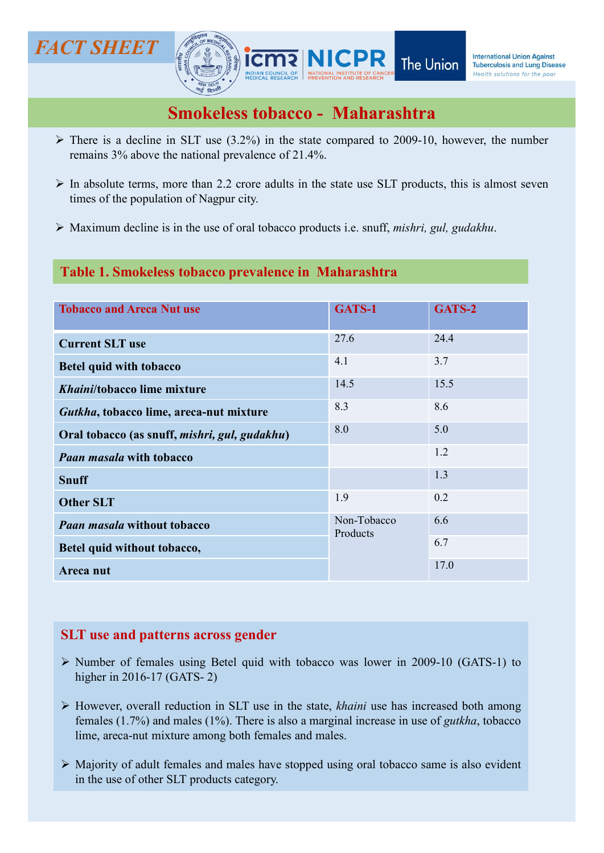# FACT SHEET



- 
- 
- 

## Table 1. Smokeless tobacco prevalence in Maharashtra

| IC <i>I SHEET</i>                         |                                                                                                                                                                                                                                                               | <b>NICPR</b>            | The Union | <b>International Union Against</b><br><b>Tuberculosis and Lung Disease</b><br>Health solutions for the poor |
|-------------------------------------------|---------------------------------------------------------------------------------------------------------------------------------------------------------------------------------------------------------------------------------------------------------------|-------------------------|-----------|-------------------------------------------------------------------------------------------------------------|
|                                           | <b>Smokeless tobacco - Maharashtra</b>                                                                                                                                                                                                                        |                         |           |                                                                                                             |
|                                           | $\triangleright$ There is a decline in SLT use (3.2%) in the state compared to 2009-10, however, the number<br>remains 3% above the national prevalence of 21.4%.                                                                                             |                         |           |                                                                                                             |
| times of the population of Nagpur city.   | $\triangleright$ In absolute terms, more than 2.2 crore adults in the state use SLT products, this is almost seven                                                                                                                                            |                         |           |                                                                                                             |
|                                           | $\triangleright$ Maximum decline is in the use of oral tobacco products i.e. snuff, <i>mishri</i> , <i>gul</i> , <i>gudakhu</i> .                                                                                                                             |                         |           |                                                                                                             |
|                                           | Table 1. Smokeless tobacco prevalence in Maharashtra                                                                                                                                                                                                          |                         |           |                                                                                                             |
| <b>Tobacco and Areca Nut use</b>          |                                                                                                                                                                                                                                                               | GATS-1                  | GATS-2    |                                                                                                             |
| <b>Current SLT use</b>                    |                                                                                                                                                                                                                                                               | 27.6                    | 24.4      |                                                                                                             |
| <b>Betel quid with tobacco</b>            |                                                                                                                                                                                                                                                               | 4.1                     | 3.7       |                                                                                                             |
| Khaini/tobacco lime mixture               |                                                                                                                                                                                                                                                               | 14.5                    | 15.5      |                                                                                                             |
| Gutkha, tobacco lime, areca-nut mixture   |                                                                                                                                                                                                                                                               | 8.3                     | 8.6       |                                                                                                             |
|                                           | Oral tobacco (as snuff, mishri, gul, gudakhu)                                                                                                                                                                                                                 | 8.0                     | 5.0       |                                                                                                             |
| <b>Paan masala with tobacco</b>           |                                                                                                                                                                                                                                                               |                         | 1.2       |                                                                                                             |
| <b>Snuff</b>                              |                                                                                                                                                                                                                                                               |                         | 1.3       |                                                                                                             |
| <b>Other SLT</b>                          |                                                                                                                                                                                                                                                               | 1.9                     | 0.2       |                                                                                                             |
| <b>Paan masala without tobacco</b>        |                                                                                                                                                                                                                                                               | Non-Tobacco<br>Products | 6.6       |                                                                                                             |
| Betel quid without tobacco,               |                                                                                                                                                                                                                                                               |                         | 6.7       |                                                                                                             |
| Areca nut                                 |                                                                                                                                                                                                                                                               |                         | 17.0      |                                                                                                             |
|                                           |                                                                                                                                                                                                                                                               |                         |           |                                                                                                             |
| <b>SLT</b> use and patterns across gender |                                                                                                                                                                                                                                                               |                         |           |                                                                                                             |
| higher in 2016-17 (GATS-2)                | $\triangleright$ Number of females using Betel quid with tobacco was lower in 2009-10 (GATS-1) to                                                                                                                                                             |                         |           |                                                                                                             |
|                                           | > However, overall reduction in SLT use in the state, khaini use has increased both among<br>females $(1.7%)$ and males $(1%)$ . There is also a marginal increase in use of <i>gutkha</i> , tobacco<br>lime, areca-nut mixture among both females and males. |                         |           |                                                                                                             |
|                                           | > Majority of adult females and males have stopped using oral tobacco same is also evident<br>in the use of other SLT products category.                                                                                                                      |                         |           |                                                                                                             |
|                                           |                                                                                                                                                                                                                                                               |                         |           |                                                                                                             |
|                                           |                                                                                                                                                                                                                                                               |                         |           |                                                                                                             |

- 
- 
-